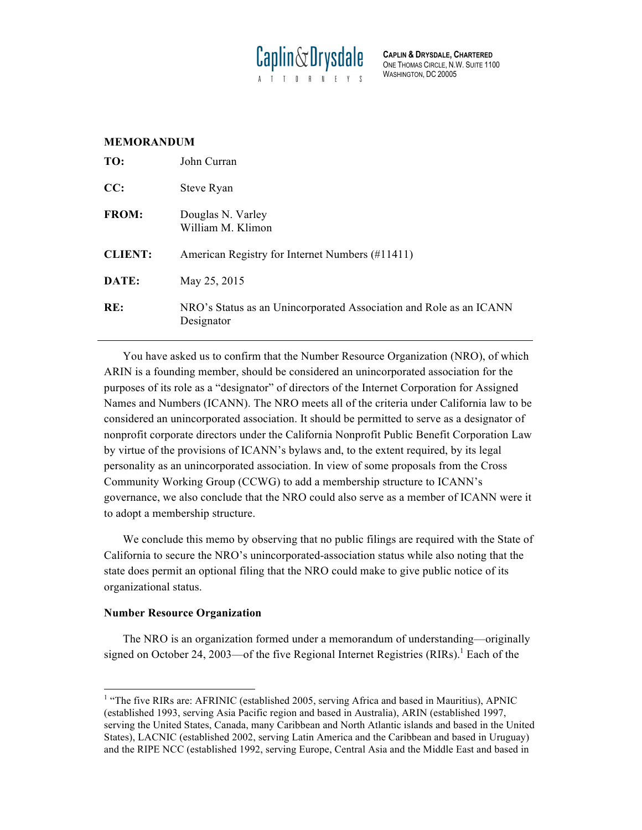

**CAPLIN & DRYSDALE, CHARTERED** ONE THOMAS CIRCLE, N.W. SUITE 1100 WASHINGTON, DC 20005

# **MEMORANDUM**

| TO:            | John Curran                                                                      |
|----------------|----------------------------------------------------------------------------------|
| CC:            | Steve Ryan                                                                       |
| <b>FROM:</b>   | Douglas N. Varley<br>William M. Klimon                                           |
| <b>CLIENT:</b> | American Registry for Internet Numbers (#11411)                                  |
| DATE:          | May 25, 2015                                                                     |
| RE:            | NRO's Status as an Unincorporated Association and Role as an ICANN<br>Designator |

You have asked us to confirm that the Number Resource Organization (NRO), of which ARIN is a founding member, should be considered an unincorporated association for the purposes of its role as a "designator" of directors of the Internet Corporation for Assigned Names and Numbers (ICANN). The NRO meets all of the criteria under California law to be considered an unincorporated association. It should be permitted to serve as a designator of nonprofit corporate directors under the California Nonprofit Public Benefit Corporation Law by virtue of the provisions of ICANN's bylaws and, to the extent required, by its legal personality as an unincorporated association. In view of some proposals from the Cross Community Working Group (CCWG) to add a membership structure to ICANN's governance, we also conclude that the NRO could also serve as a member of ICANN were it to adopt a membership structure.

We conclude this memo by observing that no public filings are required with the State of California to secure the NRO's unincorporated-association status while also noting that the state does permit an optional filing that the NRO could make to give public notice of its organizational status.

## **Number Resource Organization**

The NRO is an organization formed under a memorandum of understanding—originally signed on October 24, 2003—of the five Regional Internet Registries  $(RIRs)$ .<sup>1</sup> Each of the

<sup>&</sup>lt;sup>1</sup> "The five RIRs are: AFRINIC (established 2005, serving Africa and based in Mauritius), APNIC (established 1993, serving Asia Pacific region and based in Australia), ARIN (established 1997, serving the United States, Canada, many Caribbean and North Atlantic islands and based in the United States), LACNIC (established 2002, serving Latin America and the Caribbean and based in Uruguay) and the RIPE NCC (established 1992, serving Europe, Central Asia and the Middle East and based in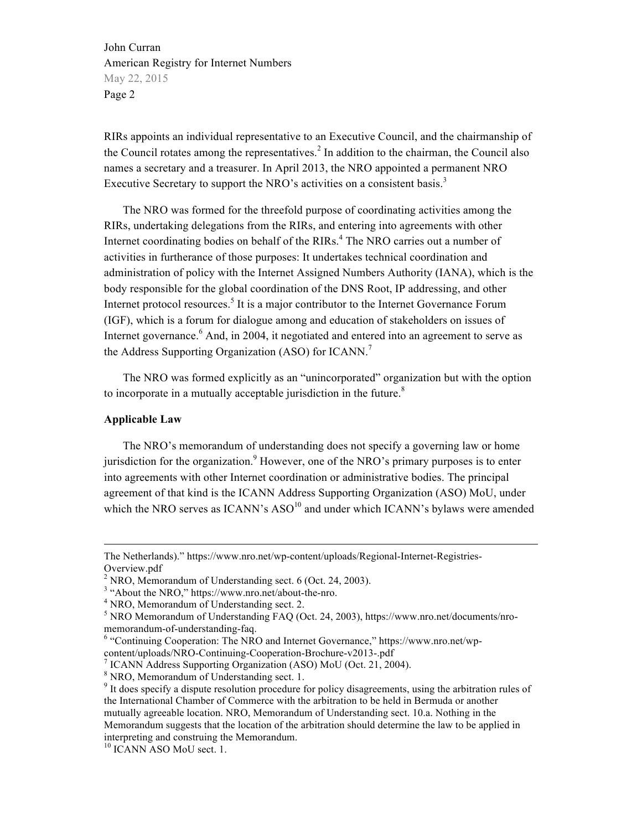RIRs appoints an individual representative to an Executive Council, and the chairmanship of the Council rotates among the representatives.<sup>2</sup> In addition to the chairman, the Council also names a secretary and a treasurer. In April 2013, the NRO appointed a permanent NRO Executive Secretary to support the NRO's activities on a consistent basis.<sup>3</sup>

The NRO was formed for the threefold purpose of coordinating activities among the RIRs, undertaking delegations from the RIRs, and entering into agreements with other Internet coordinating bodies on behalf of the RIRs.<sup>4</sup> The NRO carries out a number of activities in furtherance of those purposes: It undertakes technical coordination and administration of policy with the Internet Assigned Numbers Authority (IANA), which is the body responsible for the global coordination of the DNS Root, IP addressing, and other Internet protocol resources.<sup>5</sup> It is a major contributor to the Internet Governance Forum (IGF), which is a forum for dialogue among and education of stakeholders on issues of Internet governance.<sup>6</sup> And, in 2004, it negotiated and entered into an agreement to serve as the Address Supporting Organization (ASO) for ICANN.<sup>7</sup>

The NRO was formed explicitly as an "unincorporated" organization but with the option to incorporate in a mutually acceptable jurisdiction in the future.<sup>8</sup>

#### **Applicable Law**

The NRO's memorandum of understanding does not specify a governing law or home jurisdiction for the organization.<sup>9</sup> However, one of the NRO's primary purposes is to enter into agreements with other Internet coordination or administrative bodies. The principal agreement of that kind is the ICANN Address Supporting Organization (ASO) MoU, under which the NRO serves as  $ICANN's ASO<sup>10</sup>$  and under which  $ICANN's$  bylaws were amended

The Netherlands)." https://www.nro.net/wp-content/uploads/Regional-Internet-Registries-Overview.pdf

 $^{2}$  NRO, Memorandum of Understanding sect. 6 (Oct. 24, 2003).

 $3$  "About the NRO," https://www.nro.net/about-the-nro.  $4$  NRO, Memorandum of Understanding sect. 2.

 $5$  NRO Memorandum of Understanding FAQ (Oct. 24, 2003), https://www.nro.net/documents/nro-<br>memorandum-of-understanding-faq.

 $6$  "Continuing Cooperation: The NRO and Internet Governance," https://www.nro.net/wpcontent/uploads/NRO-Continuing-Cooperation-Brochure-v2013-.pdf <sup>7</sup> ICANN Address Supporting Organization (ASO) MoU (Oct. 21, 2004).

<sup>8</sup> NRO, Memorandum of Understanding sect. 1.

<sup>&</sup>lt;sup>9</sup> It does specify a dispute resolution procedure for policy disagreements, using the arbitration rules of the International Chamber of Commerce with the arbitration to be held in Bermuda or another mutually agreeable location. NRO, Memorandum of Understanding sect. 10.a. Nothing in the Memorandum suggests that the location of the arbitration should determine the law to be applied in interpreting and construing the Memorandum. <sup>10</sup> ICANN ASO MoU sect. 1.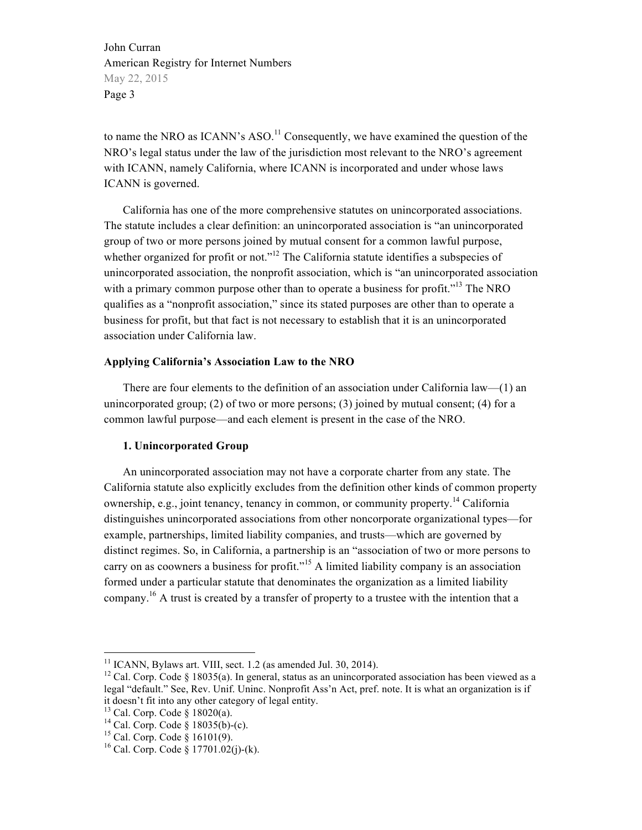to name the NRO as ICANN's  $ASO<sup>11</sup>$  Consequently, we have examined the question of the NRO's legal status under the law of the jurisdiction most relevant to the NRO's agreement with ICANN, namely California, where ICANN is incorporated and under whose laws ICANN is governed.

California has one of the more comprehensive statutes on unincorporated associations. The statute includes a clear definition: an unincorporated association is "an unincorporated group of two or more persons joined by mutual consent for a common lawful purpose, whether organized for profit or not."<sup>12</sup> The California statute identifies a subspecies of unincorporated association, the nonprofit association, which is "an unincorporated association with a primary common purpose other than to operate a business for profit."<sup>13</sup> The NRO qualifies as a "nonprofit association," since its stated purposes are other than to operate a business for profit, but that fact is not necessary to establish that it is an unincorporated association under California law.

### **Applying California's Association Law to the NRO**

There are four elements to the definition of an association under California law—(1) an unincorporated group; (2) of two or more persons; (3) joined by mutual consent; (4) for a common lawful purpose—and each element is present in the case of the NRO.

### **1. Unincorporated Group**

An unincorporated association may not have a corporate charter from any state. The California statute also explicitly excludes from the definition other kinds of common property ownership, e.g., joint tenancy, tenancy in common, or community property.<sup>14</sup> California distinguishes unincorporated associations from other noncorporate organizational types—for example, partnerships, limited liability companies, and trusts—which are governed by distinct regimes. So, in California, a partnership is an "association of two or more persons to carry on as coowners a business for profit."<sup>15</sup> A limited liability company is an association formed under a particular statute that denominates the organization as a limited liability company.16 A trust is created by a transfer of property to a trustee with the intention that a

<sup>&</sup>lt;sup>11</sup> ICANN, Bylaws art. VIII, sect. 1.2 (as amended Jul. 30, 2014).<br><sup>12</sup> Cal. Corp. Code § 18035(a). In general, status as an unincorporated association has been viewed as a legal "default." See, Rev. Unif. Uninc. Nonprofit Ass'n Act, pref. note. It is what an organization is if it doesn't fit into any other category of legal entity.<br><sup>13</sup> Cal. Corp. Code § 18020(a).

<sup>&</sup>lt;sup>14</sup> Cal. Corp. Code § 18035(b)-(c).<br><sup>15</sup> Cal. Corp. Code § 16101(9).<br><sup>16</sup> Cal. Corp. Code § 17701.02(j)-(k).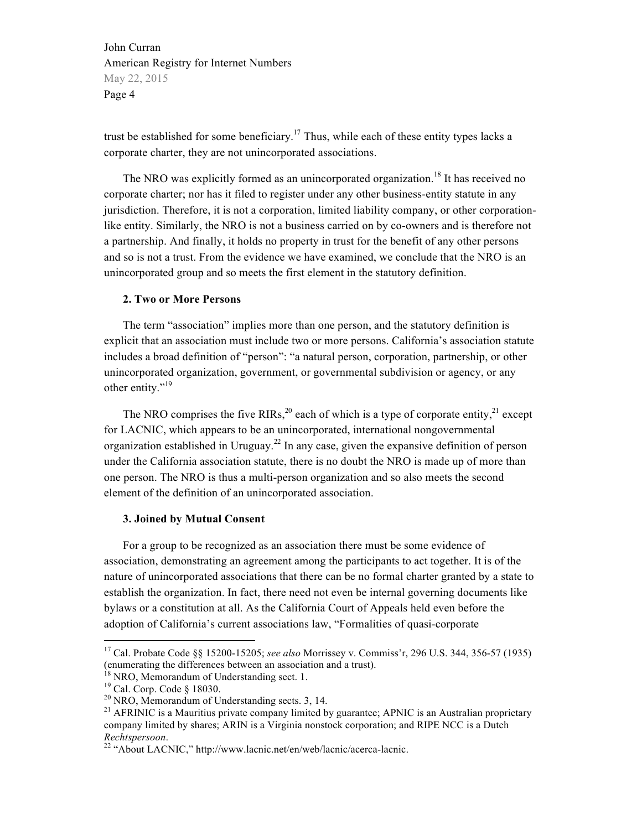trust be established for some beneficiary.<sup>17</sup> Thus, while each of these entity types lacks a corporate charter, they are not unincorporated associations.

The NRO was explicitly formed as an unincorporated organization.<sup>18</sup> It has received no corporate charter; nor has it filed to register under any other business-entity statute in any jurisdiction. Therefore, it is not a corporation, limited liability company, or other corporationlike entity. Similarly, the NRO is not a business carried on by co-owners and is therefore not a partnership. And finally, it holds no property in trust for the benefit of any other persons and so is not a trust. From the evidence we have examined, we conclude that the NRO is an unincorporated group and so meets the first element in the statutory definition.

### **2. Two or More Persons**

The term "association" implies more than one person, and the statutory definition is explicit that an association must include two or more persons. California's association statute includes a broad definition of "person": "a natural person, corporation, partnership, or other unincorporated organization, government, or governmental subdivision or agency, or any other entity."<sup>19</sup>

The NRO comprises the five RIRs,<sup>20</sup> each of which is a type of corporate entity,<sup>21</sup> except for LACNIC, which appears to be an unincorporated, international nongovernmental organization established in Uruguay.<sup>22</sup> In any case, given the expansive definition of person under the California association statute, there is no doubt the NRO is made up of more than one person. The NRO is thus a multi-person organization and so also meets the second element of the definition of an unincorporated association.

### **3. Joined by Mutual Consent**

For a group to be recognized as an association there must be some evidence of association, demonstrating an agreement among the participants to act together. It is of the nature of unincorporated associations that there can be no formal charter granted by a state to establish the organization. In fact, there need not even be internal governing documents like bylaws or a constitution at all. As the California Court of Appeals held even before the adoption of California's current associations law, "Formalities of quasi-corporate

 <sup>17</sup> Cal. Probate Code §§ 15200-15205; *see also* Morrissey v. Commiss'r, 296 U.S. 344, 356-57 (1935) (enumerating the differences between an association and a trust).

<sup>&</sup>lt;sup>18</sup> NRO, Memorandum of Understanding sect. 1.<br><sup>19</sup> Cal. Corp. Code § 18030.<br><sup>20</sup> NRO, Memorandum of Understanding sects. 3, 14.<br><sup>21</sup> AFRINIC is a Mauritius private company limited by guarantee; APNIC is an Australian pro company limited by shares; ARIN is a Virginia nonstock corporation; and RIPE NCC is a Dutch *Rechtspersoon.*<br><sup>22</sup> "About LACNIC," http://www.lacnic.net/en/web/lacnic/acerca-lacnic.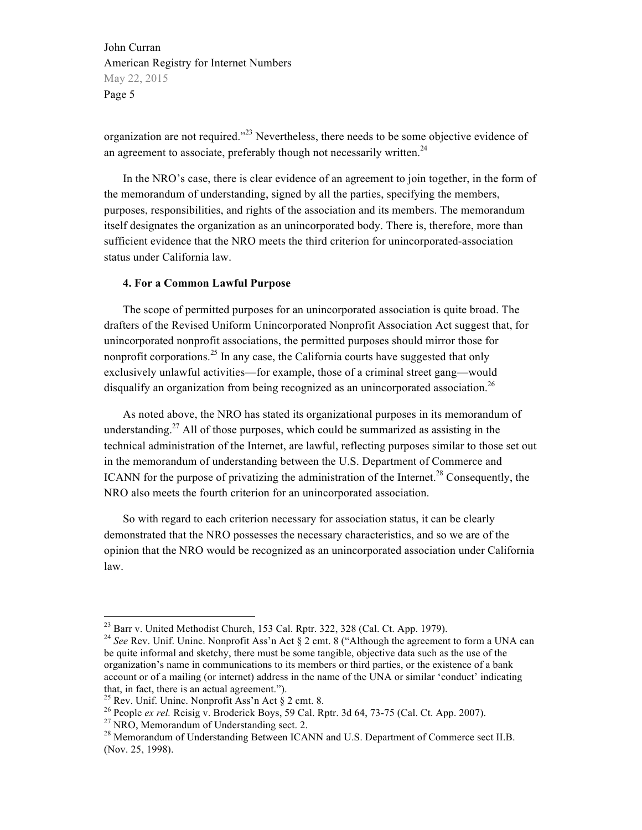organization are not required.<sup>223</sup> Nevertheless, there needs to be some objective evidence of an agreement to associate, preferably though not necessarily written.<sup>24</sup>

In the NRO's case, there is clear evidence of an agreement to join together, in the form of the memorandum of understanding, signed by all the parties, specifying the members, purposes, responsibilities, and rights of the association and its members. The memorandum itself designates the organization as an unincorporated body. There is, therefore, more than sufficient evidence that the NRO meets the third criterion for unincorporated-association status under California law.

## **4. For a Common Lawful Purpose**

The scope of permitted purposes for an unincorporated association is quite broad. The drafters of the Revised Uniform Unincorporated Nonprofit Association Act suggest that, for unincorporated nonprofit associations, the permitted purposes should mirror those for nonprofit corporations.<sup>25</sup> In any case, the California courts have suggested that only exclusively unlawful activities—for example, those of a criminal street gang—would disqualify an organization from being recognized as an unincorporated association.<sup>26</sup>

As noted above, the NRO has stated its organizational purposes in its memorandum of understanding.<sup>27</sup> All of those purposes, which could be summarized as assisting in the technical administration of the Internet, are lawful, reflecting purposes similar to those set out in the memorandum of understanding between the U.S. Department of Commerce and ICANN for the purpose of privatizing the administration of the Internet.<sup>28</sup> Consequently, the NRO also meets the fourth criterion for an unincorporated association.

So with regard to each criterion necessary for association status, it can be clearly demonstrated that the NRO possesses the necessary characteristics, and so we are of the opinion that the NRO would be recognized as an unincorporated association under California law.

<sup>&</sup>lt;sup>23</sup> Barr v. United Methodist Church, 153 Cal. Rptr. 322, 328 (Cal. Ct. App. 1979).<br><sup>24</sup> *See* Rev. Unif. Uninc. Nonprofit Ass'n Act § 2 cmt. 8 ("Although the agreement to form a UNA can

be quite informal and sketchy, there must be some tangible, objective data such as the use of the organization's name in communications to its members or third parties, or the existence of a bank account or of a mailing (or internet) address in the name of the UNA or similar 'conduct' indicating that, in fact, there is an actual agreement.").<br><sup>25</sup> Rev. Unif. Uninc. Nonprofit Ass'n Act  $\S$  2 cmt. 8.

<sup>&</sup>lt;sup>26</sup> People *ex rel.* Reisig v. Broderick Boys, 59 Cal. Rptr. 3d 64, 73-75 (Cal. Ct. App. 2007).<br><sup>27</sup> NRO, Memorandum of Understanding sect. 2.<br><sup>28</sup> Memorandum of Understanding Between ICANN and U.S. Department of Commerc

<sup>(</sup>Nov. 25, 1998).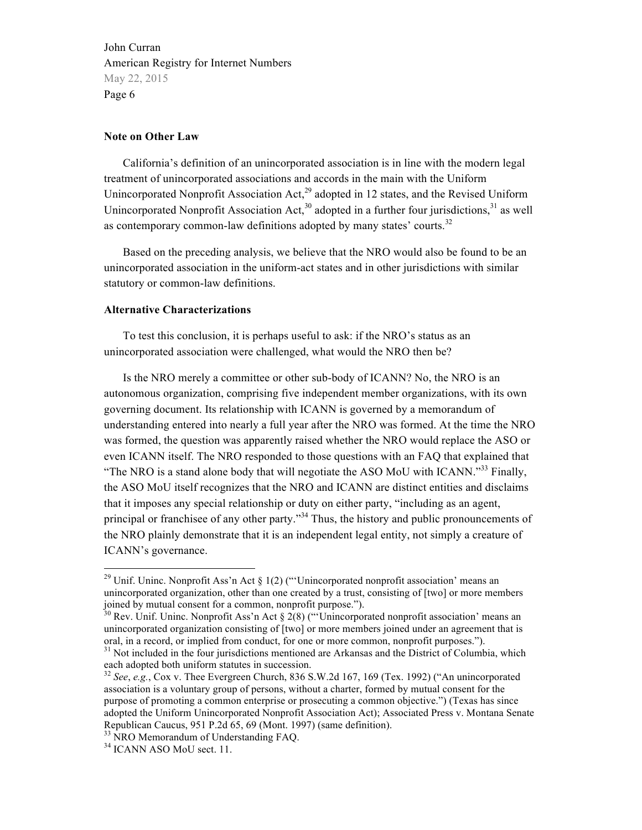#### **Note on Other Law**

California's definition of an unincorporated association is in line with the modern legal treatment of unincorporated associations and accords in the main with the Uniform Unincorporated Nonprofit Association Act,<sup>29</sup> adopted in 12 states, and the Revised Uniform Unincorporated Nonprofit Association Act,<sup>30</sup> adopted in a further four jurisdictions,<sup>31</sup> as well as contemporary common-law definitions adopted by many states' courts.<sup>32</sup>

Based on the preceding analysis, we believe that the NRO would also be found to be an unincorporated association in the uniform-act states and in other jurisdictions with similar statutory or common-law definitions.

### **Alternative Characterizations**

To test this conclusion, it is perhaps useful to ask: if the NRO's status as an unincorporated association were challenged, what would the NRO then be?

Is the NRO merely a committee or other sub-body of ICANN? No, the NRO is an autonomous organization, comprising five independent member organizations, with its own governing document. Its relationship with ICANN is governed by a memorandum of understanding entered into nearly a full year after the NRO was formed. At the time the NRO was formed, the question was apparently raised whether the NRO would replace the ASO or even ICANN itself. The NRO responded to those questions with an FAQ that explained that "The NRO is a stand alone body that will negotiate the ASO MoU with ICANN."<sup>33</sup> Finally, the ASO MoU itself recognizes that the NRO and ICANN are distinct entities and disclaims that it imposes any special relationship or duty on either party, "including as an agent, principal or franchisee of any other party."<sup>34</sup> Thus, the history and public pronouncements of the NRO plainly demonstrate that it is an independent legal entity, not simply a creature of ICANN's governance.

<sup>&</sup>lt;sup>29</sup> Unif. Uninc. Nonprofit Ass'n Act § 1(2) ("'Unincorporated nonprofit association' means an unincorporated organization, other than one created by a trust, consisting of [two] or more members joined by mutual consent for a common, nonprofit purpose.").

 $30$  Rev. Unif. Uninc. Nonprofit Ass'n Act § 2(8) ("'Unincorporated nonprofit association' means an unincorporated organization consisting of [two] or more members joined under an agreement that is oral, in a record, or implied from conduct, for one or more common, nonprofit purposes.").

 $31$  Not included in the four jurisdictions mentioned are Arkansas and the District of Columbia, which each adopted both uniform statutes in succession.

<sup>32</sup> *See*, *e.g.*, Cox v. Thee Evergreen Church, 836 S.W.2d 167, 169 (Tex. 1992) ("An unincorporated association is a voluntary group of persons, without a charter, formed by mutual consent for the purpose of promoting a common enterprise or prosecuting a common objective.") (Texas has since adopted the Uniform Unincorporated Nonprofit Association Act); Associated Press v. Montana Senate Republican Caucus, 951 P.2d 65, 69 (Mont. 1997) (same definition). <sup>33</sup> NRO Memorandum of Understanding FAQ. <sup>34</sup> ICANN ASO MoU sect. 11.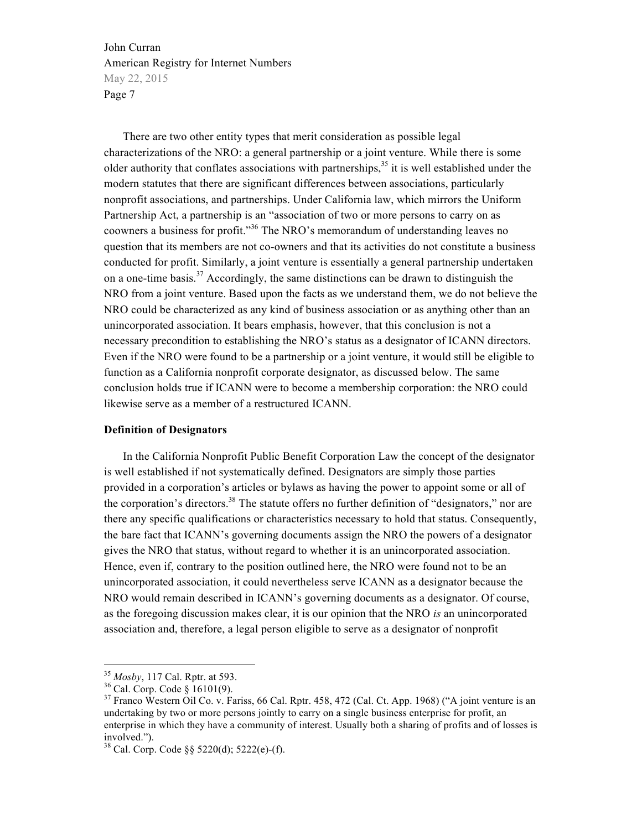There are two other entity types that merit consideration as possible legal characterizations of the NRO: a general partnership or a joint venture. While there is some older authority that conflates associations with partnerships,  $35$  it is well established under the modern statutes that there are significant differences between associations, particularly nonprofit associations, and partnerships. Under California law, which mirrors the Uniform Partnership Act, a partnership is an "association of two or more persons to carry on as coowners a business for profit."<sup>36</sup> The NRO's memorandum of understanding leaves no question that its members are not co-owners and that its activities do not constitute a business conducted for profit. Similarly, a joint venture is essentially a general partnership undertaken on a one-time basis.<sup>37</sup> Accordingly, the same distinctions can be drawn to distinguish the NRO from a joint venture. Based upon the facts as we understand them, we do not believe the NRO could be characterized as any kind of business association or as anything other than an unincorporated association. It bears emphasis, however, that this conclusion is not a necessary precondition to establishing the NRO's status as a designator of ICANN directors. Even if the NRO were found to be a partnership or a joint venture, it would still be eligible to function as a California nonprofit corporate designator, as discussed below. The same conclusion holds true if ICANN were to become a membership corporation: the NRO could likewise serve as a member of a restructured ICANN.

### **Definition of Designators**

In the California Nonprofit Public Benefit Corporation Law the concept of the designator is well established if not systematically defined. Designators are simply those parties provided in a corporation's articles or bylaws as having the power to appoint some or all of the corporation's directors.<sup>38</sup> The statute offers no further definition of "designators," nor are there any specific qualifications or characteristics necessary to hold that status. Consequently, the bare fact that ICANN's governing documents assign the NRO the powers of a designator gives the NRO that status, without regard to whether it is an unincorporated association. Hence, even if, contrary to the position outlined here, the NRO were found not to be an unincorporated association, it could nevertheless serve ICANN as a designator because the NRO would remain described in ICANN's governing documents as a designator. Of course, as the foregoing discussion makes clear, it is our opinion that the NRO *is* an unincorporated association and, therefore, a legal person eligible to serve as a designator of nonprofit

<sup>&</sup>lt;sup>35</sup> *Mosby*, 117 Cal. Rptr. at 593.<br><sup>36</sup> Cal. Corp. Code § 16101(9).<br><sup>37</sup> Franco Western Oil Co. v. Fariss, 66 Cal. Rptr. 458, 472 (Cal. Ct. App. 1968) ("A joint venture is an undertaking by two or more persons jointly to carry on a single business enterprise for profit, an enterprise in which they have a community of interest. Usually both a sharing of profits and of losses is involved.").

<sup>38</sup> Cal. Corp. Code §§ 5220(d); 5222(e)-(f).